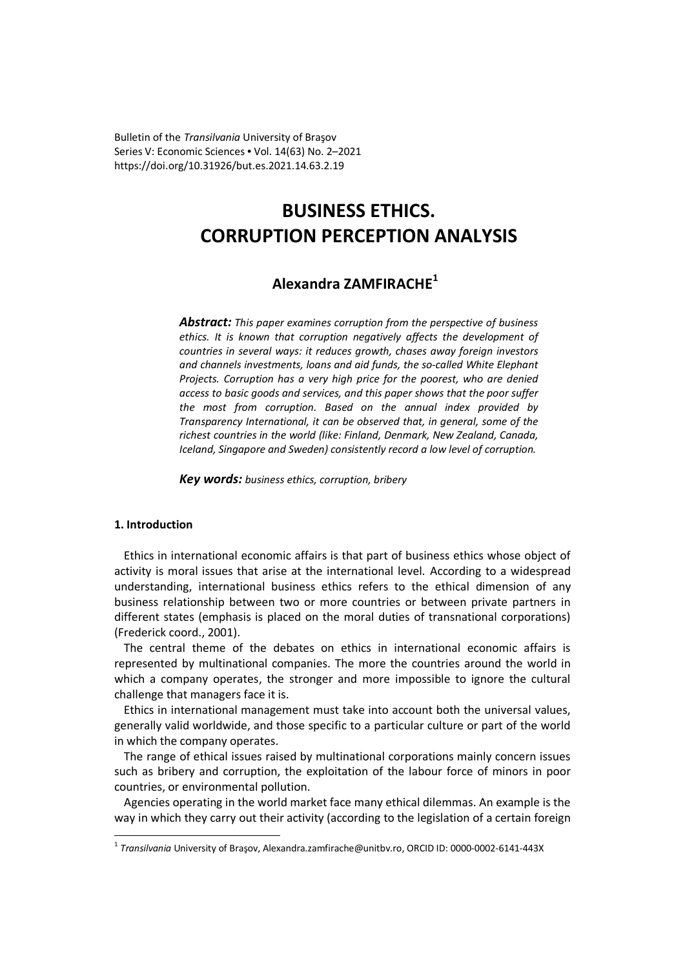Bulletin of the *Transilvania* University of Braşov Series V: Economic Sciences • Vol. 14(63) No. 2–2021 https://doi.org/10.31926/but.es.2021.14.63.2.19

# **BUSINESS ETHICS. CORRUPTION PERCEPTION ANALYSIS**

# **Alexandra ZAMFIRACHE<sup>1</sup>**

*Abstract: This paper examines corruption from the perspective of business ethics. It is known that corruption negatively affects the development of countries in several ways: it reduces growth, chases away foreign investors and channels investments, loans and aid funds, the so-called White Elephant Projects. Corruption has a very high price for the poorest, who are denied access to basic goods and services, and this paper shows that the poor suffer the most from corruption. Based on the annual index provided by Transparency International, it can be observed that, in general, some of the richest countries in the world (like: Finland, Denmark, New Zealand, Canada, Iceland, Singapore and Sweden) consistently record a low level of corruption.* 

*Key words: business ethics, corruption, bribery*

# **1. Introduction**

Ethics in international economic affairs is that part of business ethics whose object of activity is moral issues that arise at the international level. According to a widespread understanding, international business ethics refers to the ethical dimension of any business relationship between two or more countries or between private partners in different states (emphasis is placed on the moral duties of transnational corporations) (Frederick coord., 2001).

The central theme of the debates on ethics in international economic affairs is represented by multinational companies. The more the countries around the world in which a company operates, the stronger and more impossible to ignore the cultural challenge that managers face it is.

Ethics in international management must take into account both the universal values, generally valid worldwide, and those specific to a particular culture or part of the world in which the company operates.

The range of ethical issues raised by multinational corporations mainly concern issues such as bribery and corruption, the exploitation of the labour force of minors in poor countries, or environmental pollution.

Agencies operating in the world market face many ethical dilemmas. An example is the way in which they carry out their activity (according to the legislation of a certain foreign  $\overline{a}$ 

<sup>1</sup> *Transilvania* University of Braşov, Alexandra.zamfirache@unitbv.ro, ORCID ID: 0000-0002-6141-443X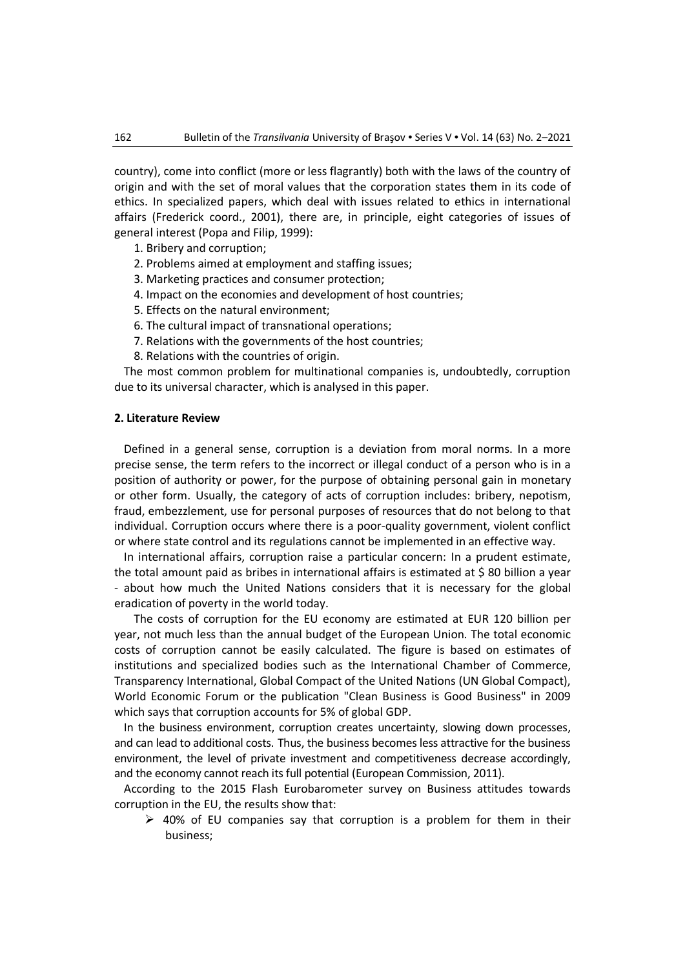country), come into conflict (more or less flagrantly) both with the laws of the country of origin and with the set of moral values that the corporation states them in its code of ethics. In specialized papers, which deal with issues related to ethics in international affairs (Frederick coord., 2001), there are, in principle, eight categories of issues of general interest (Popa and Filip, 1999):

- 1. Bribery and corruption;
- 2. Problems aimed at employment and staffing issues;
- 3. Marketing practices and consumer protection;
- 4. Impact on the economies and development of host countries;
- 5. Effects on the natural environment;
- 6. The cultural impact of transnational operations;
- 7. Relations with the governments of the host countries;
- 8. Relations with the countries of origin.

The most common problem for multinational companies is, undoubtedly, corruption due to its universal character, which is analysed in this paper.

#### **2. Literature Review**

Defined in a general sense, corruption is a deviation from moral norms. In a more precise sense, the term refers to the incorrect or illegal conduct of a person who is in a position of authority or power, for the purpose of obtaining personal gain in monetary or other form. Usually, the category of acts of corruption includes: bribery, nepotism, fraud, embezzlement, use for personal purposes of resources that do not belong to that individual. Corruption occurs where there is a poor-quality government, violent conflict or where state control and its regulations cannot be implemented in an effective way.

In international affairs, corruption raise a particular concern: In a prudent estimate, the total amount paid as bribes in international affairs is estimated at \$80 billion a year - about how much the United Nations considers that it is necessary for the global eradication of poverty in the world today.

 The costs of corruption for the EU economy are estimated at EUR 120 billion per year, not much less than the annual budget of the European Union. The total economic costs of corruption cannot be easily calculated. The figure is based on estimates of institutions and specialized bodies such as the International Chamber of Commerce, Transparency International, Global Compact of the United Nations (UN Global Compact), World Economic Forum or the publication "Clean Business is Good Business" in 2009 which says that corruption accounts for 5% of global GDP.

In the business environment, corruption creates uncertainty, slowing down processes, and can lead to additional costs. Thus, the business becomes less attractive for the business environment, the level of private investment and competitiveness decrease accordingly, and the economy cannot reach its full potential (European Commission, 2011).

According to the 2015 Flash Eurobarometer survey on Business attitudes towards corruption in the EU, the results show that:

 $\geq$  40% of EU companies say that corruption is a problem for them in their business;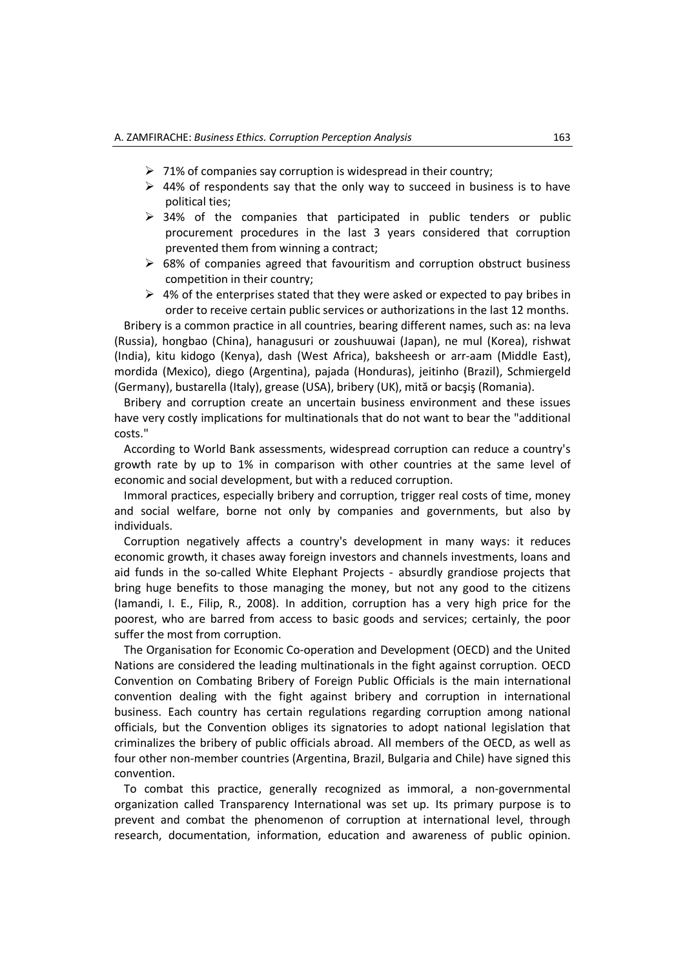- $\geq 71\%$  of companies say corruption is widespread in their country;
- $\triangleright$  44% of respondents say that the only way to succeed in business is to have political ties;
- $\geq$  34% of the companies that participated in public tenders or public procurement procedures in the last 3 years considered that corruption prevented them from winning a contract;
- $\triangleright$  68% of companies agreed that favouritism and corruption obstruct business competition in their country;
- $\triangleright$  4% of the enterprises stated that they were asked or expected to pay bribes in order to receive certain public services or authorizations in the last 12 months.

Bribery is a common practice in all countries, bearing different names, such as: na leva (Russia), hongbao (China), hanagusuri or zoushuuwai (Japan), ne mul (Korea), rishwat (India), kitu kidogo (Kenya), dash (West Africa), baksheesh or arr-aam (Middle East), mordida (Mexico), diego (Argentina), pajada (Honduras), jeitinho (Brazil), Schmiergeld (Germany), bustarella (Italy), grease (USA), bribery (UK), mită or bacşiş (Romania).

Bribery and corruption create an uncertain business environment and these issues have very costly implications for multinationals that do not want to bear the "additional costs."

According to World Bank assessments, widespread corruption can reduce a country's growth rate by up to 1% in comparison with other countries at the same level of economic and social development, but with a reduced corruption.

Immoral practices, especially bribery and corruption, trigger real costs of time, money and social welfare, borne not only by companies and governments, but also by individuals.

Corruption negatively affects a country's development in many ways: it reduces economic growth, it chases away foreign investors and channels investments, loans and aid funds in the so-called White Elephant Projects - absurdly grandiose projects that bring huge benefits to those managing the money, but not any good to the citizens (Iamandi, I. E., Filip, R., 2008). In addition, corruption has a very high price for the poorest, who are barred from access to basic goods and services; certainly, the poor suffer the most from corruption.

The Organisation for Economic Co-operation and Development (OECD) and the United Nations are considered the leading multinationals in the fight against corruption. OECD Convention on Combating Bribery of Foreign Public Officials is the main international convention dealing with the fight against bribery and corruption in international business. Each country has certain regulations regarding corruption among national officials, but the Convention obliges its signatories to adopt national legislation that criminalizes the bribery of public officials abroad. All members of the OECD, as well as four other non-member countries (Argentina, Brazil, Bulgaria and Chile) have signed this convention.

To combat this practice, generally recognized as immoral, a non-governmental organization called Transparency International was set up. Its primary purpose is to prevent and combat the phenomenon of corruption at international level, through research, documentation, information, education and awareness of public opinion.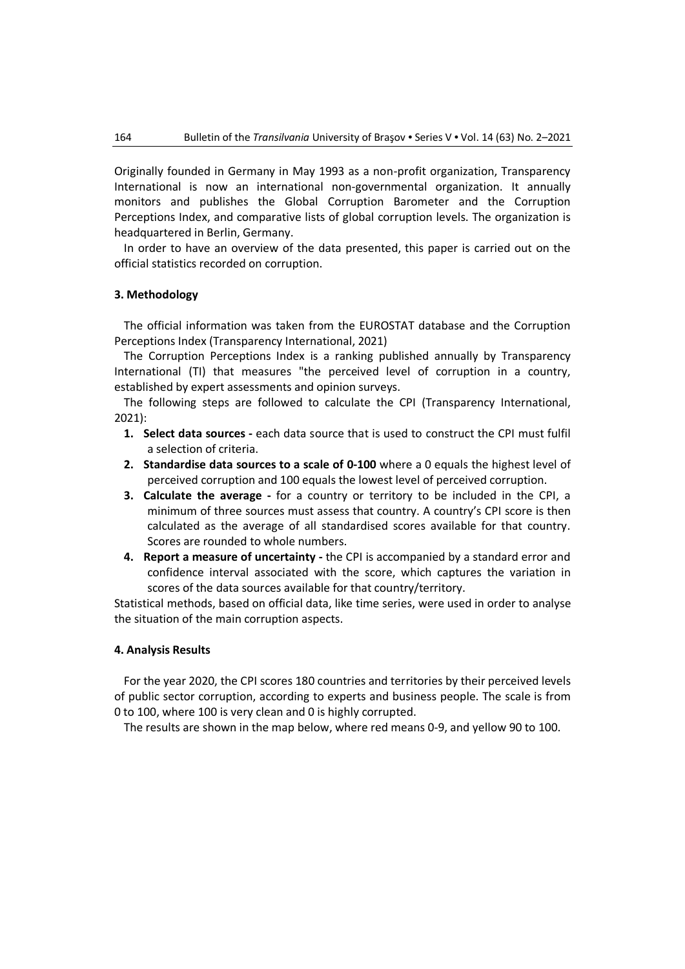Originally founded in Germany in May 1993 as a non-profit organization, Transparency International is now an international non-governmental organization. It annually monitors and publishes the Global Corruption Barometer and the Corruption Perceptions Index, and comparative lists of global corruption levels. The organization is headquartered in Berlin, Germany.

In order to have an overview of the data presented, this paper is carried out on the official statistics recorded on corruption.

## **3. Methodology**

The official information was taken from the EUROSTAT database and the Corruption Perceptions Index (Transparency International, 2021)

The Corruption Perceptions Index is a ranking published annually by Transparency International (TI) that measures "the perceived level of corruption in a country, established by expert assessments and opinion surveys.

The following steps are followed to calculate the CPI (Transparency International, 2021):

- **1. Select data sources** each data source that is used to construct the CPI must fulfil a selection of criteria.
- **2. Standardise data sources to a scale of 0-100** where a 0 equals the highest level of perceived corruption and 100 equals the lowest level of perceived corruption.
- **3. Calculate the average -** for a country or territory to be included in the CPI, a minimum of three sources must assess that country. A country's CPI score is then calculated as the average of all standardised scores available for that country. Scores are rounded to whole numbers.
- **4. Report a measure of uncertainty** the CPI is accompanied by a standard error and confidence interval associated with the score, which captures the variation in scores of the data sources available for that country/territory.

Statistical methods, based on official data, like time series, were used in order to analyse the situation of the main corruption aspects.

### **4. Analysis Results**

For the year 2020, the CPI scores 180 countries and territories by their perceived levels of public sector corruption, according to experts and business people. The scale is from 0 to 100, where 100 is very clean and 0 is highly corrupted.

The results are shown in the map below, where red means 0-9, and yellow 90 to 100.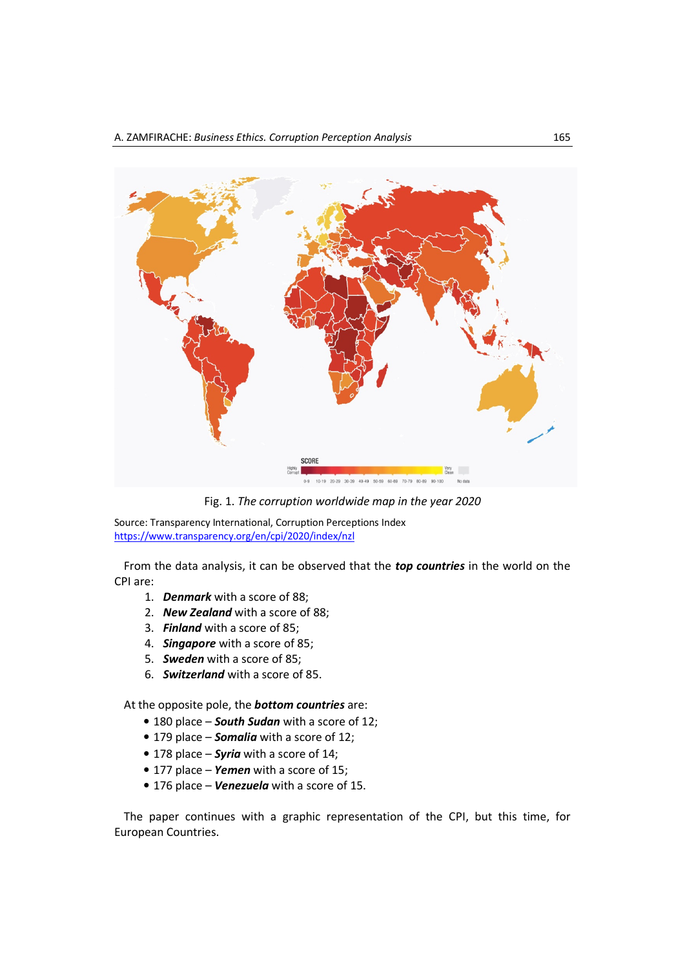

Fig. 1. *The corruption worldwide map in the year 2020* 

Source: Transparency International, Corruption Perceptions Index https://www.transparency.org/en/cpi/2020/index/nzl

From the data analysis, it can be observed that the *top countries* in the world on the CPI are:

- 1. *Denmark* with a score of 88;
- 2. *New Zealand* with a score of 88;
- 3. *Finland* with a score of 85;
- 4. *Singapore* with a score of 85;
- 5. *Sweden* with a score of 85;
- 6. *Switzerland* with a score of 85.

At the opposite pole, the *bottom countries* are:

- 180 place *South Sudan* with a score of 12;
- 179 place *Somalia* with a score of 12;
- 178 place *Syria* with a score of 14;
- 177 place *Yemen* with a score of 15;
- 176 place *Venezuela* with a score of 15.

The paper continues with a graphic representation of the CPI, but this time, for European Countries.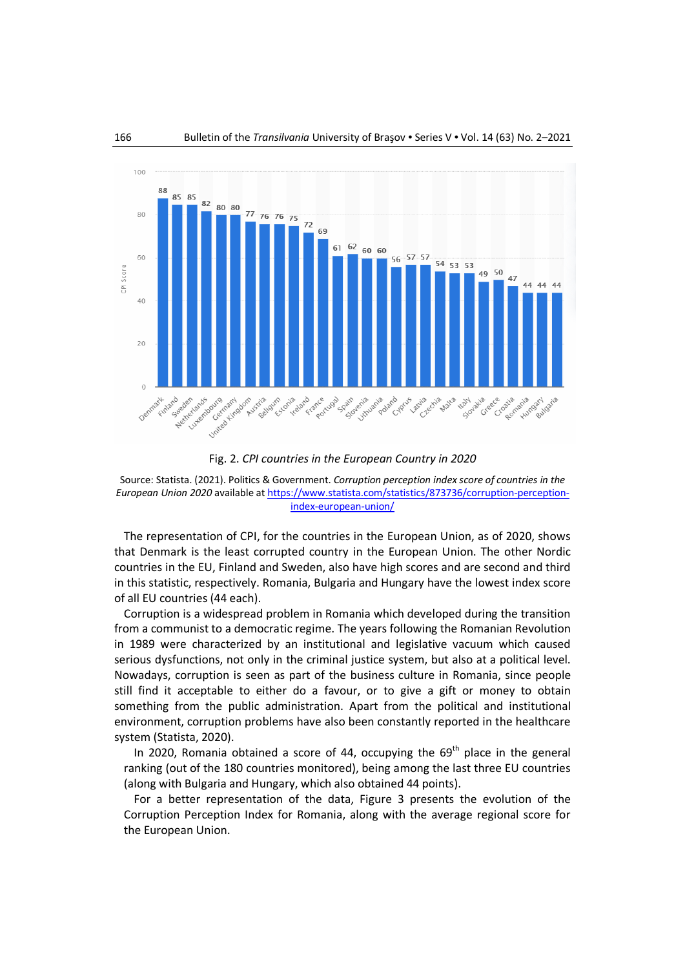

Fig. 2. *CPI countries in the European Country in 2020* 

Source: Statista. (2021). Politics & Government. *Corruption perception index score of countries in the European Union 2020* available at https://www.statista.com/statistics/873736/corruption-perceptionindex-european-union/

The representation of CPI, for the countries in the European Union, as of 2020, shows that Denmark is the least corrupted country in the European Union. The other Nordic countries in the EU, Finland and Sweden, also have high scores and are second and third in this statistic, respectively. Romania, Bulgaria and Hungary have the lowest index score of all EU countries (44 each).

Corruption is a widespread problem in Romania which developed during the transition from a communist to a democratic regime. The years following the Romanian Revolution in 1989 were characterized by an institutional and legislative vacuum which caused serious dysfunctions, not only in the criminal justice system, but also at a political level. Nowadays, corruption is seen as part of the business culture in Romania, since people still find it acceptable to either do a favour, or to give a gift or money to obtain something from the public administration. Apart from the political and institutional environment, corruption problems have also been constantly reported in the healthcare system (Statista, 2020).

In 2020, Romania obtained a score of 44, occupying the  $69<sup>th</sup>$  place in the general ranking (out of the 180 countries monitored), being among the last three EU countries (along with Bulgaria and Hungary, which also obtained 44 points).

For a better representation of the data, Figure 3 presents the evolution of the Corruption Perception Index for Romania, along with the average regional score for the European Union.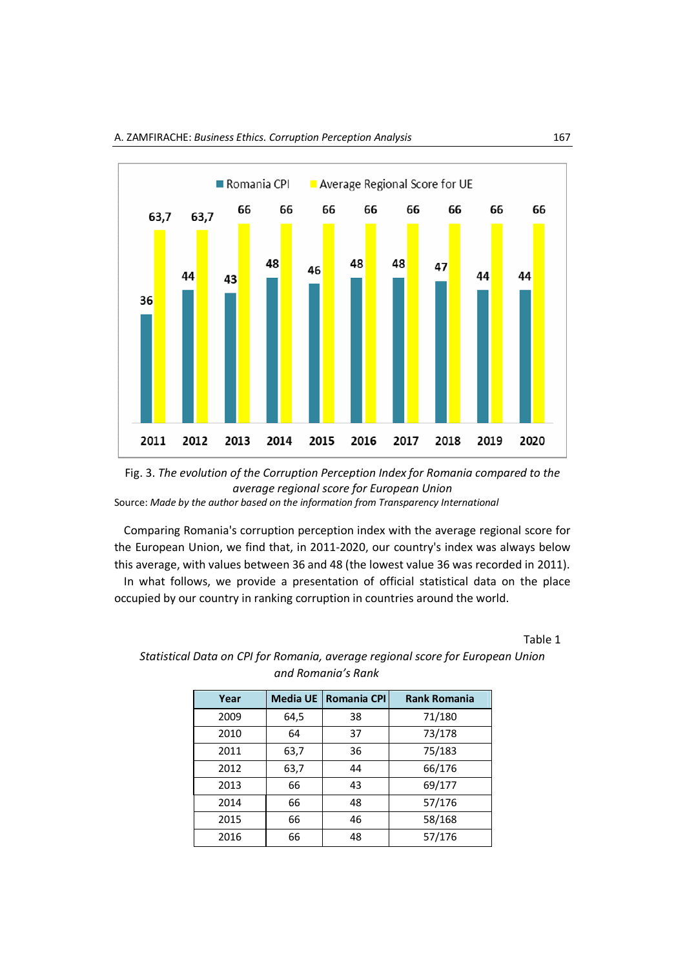



Comparing Romania's corruption perception index with the average regional score for the European Union, we find that, in 2011-2020, our country's index was always below this average, with values between 36 and 48 (the lowest value 36 was recorded in 2011). In what follows, we provide a presentation of official statistical data on the place occupied by our country in ranking corruption in countries around the world.

Table 1

| Year | <b>Media UE</b> | <b>Romania CPI</b> | <b>Rank Romania</b> |
|------|-----------------|--------------------|---------------------|
| 2009 | 64,5            | 38                 | 71/180              |
| 2010 | 64              | 37                 | 73/178              |
| 2011 | 63,7            | 36                 | 75/183              |
| 2012 | 63,7            | 44                 | 66/176              |
| 2013 | 66              | 43                 | 69/177              |
| 2014 | 66              | 48                 | 57/176              |
| 2015 | 66              | 46                 | 58/168              |
| 2016 | 66              | 48                 | 57/176              |

*Statistical Data on CPI for Romania, average regional score for European Union and Romania's Rank*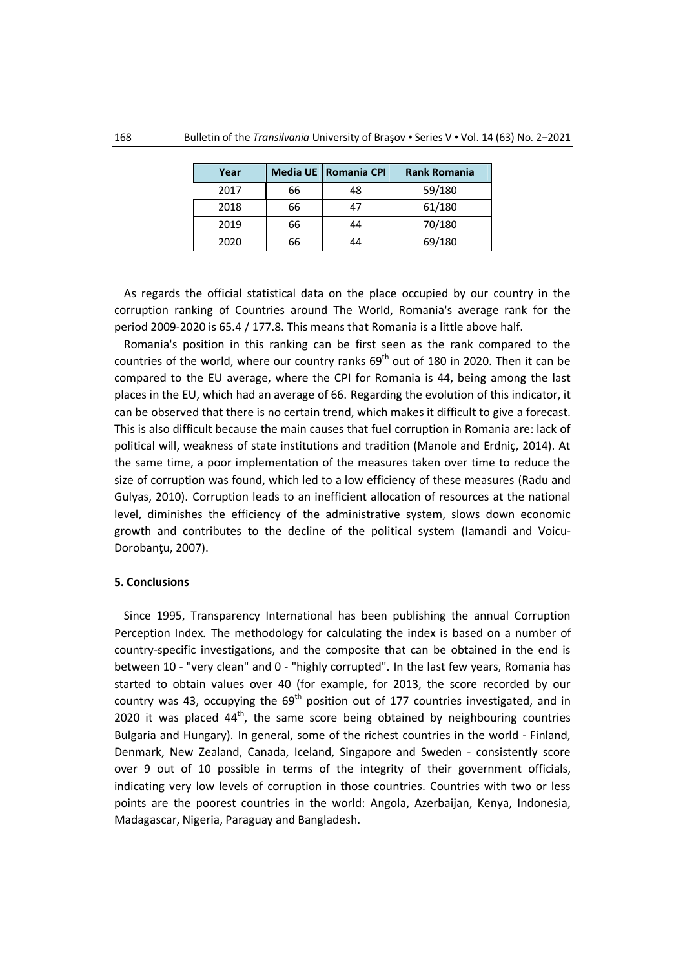| Year |    | Media UE   Romania CPI | <b>Rank Romania</b> |
|------|----|------------------------|---------------------|
| 2017 | 66 | 48                     | 59/180              |
| 2018 | 66 | 47                     | 61/180              |
| 2019 | 66 | 44                     | 70/180              |
| 2020 | 66 | 44                     | 69/180              |

As regards the official statistical data on the place occupied by our country in the corruption ranking of Countries around The World, Romania's average rank for the period 2009-2020 is 65.4 / 177.8. This means that Romania is a little above half.

Romania's position in this ranking can be first seen as the rank compared to the countries of the world, where our country ranks  $69<sup>th</sup>$  out of 180 in 2020. Then it can be compared to the EU average, where the CPI for Romania is 44, being among the last places in the EU, which had an average of 66. Regarding the evolution of this indicator, it can be observed that there is no certain trend, which makes it difficult to give a forecast. This is also difficult because the main causes that fuel corruption in Romania are: lack of political will, weakness of state institutions and tradition (Manole and Erdniç, 2014). At the same time, a poor implementation of the measures taken over time to reduce the size of corruption was found, which led to a low efficiency of these measures (Radu and Gulyas, 2010). Corruption leads to an inefficient allocation of resources at the national level, diminishes the efficiency of the administrative system, slows down economic growth and contributes to the decline of the political system (Iamandi and Voicu-Dorobantu, 2007).

#### **5. Conclusions**

Since 1995, Transparency International has been publishing the annual Corruption Perception Index. The methodology for calculating the index is based on a number of country-specific investigations, and the composite that can be obtained in the end is between 10 - "very clean" and 0 - "highly corrupted". In the last few years, Romania has started to obtain values over 40 (for example, for 2013, the score recorded by our country was 43, occupying the  $69<sup>th</sup>$  position out of 177 countries investigated, and in 2020 it was placed  $44<sup>th</sup>$ , the same score being obtained by neighbouring countries Bulgaria and Hungary). In general, some of the richest countries in the world - Finland, Denmark, New Zealand, Canada, Iceland, Singapore and Sweden - consistently score over 9 out of 10 possible in terms of the integrity of their government officials, indicating very low levels of corruption in those countries. Countries with two or less points are the poorest countries in the world: Angola, Azerbaijan, Kenya, Indonesia, Madagascar, Nigeria, Paraguay and Bangladesh.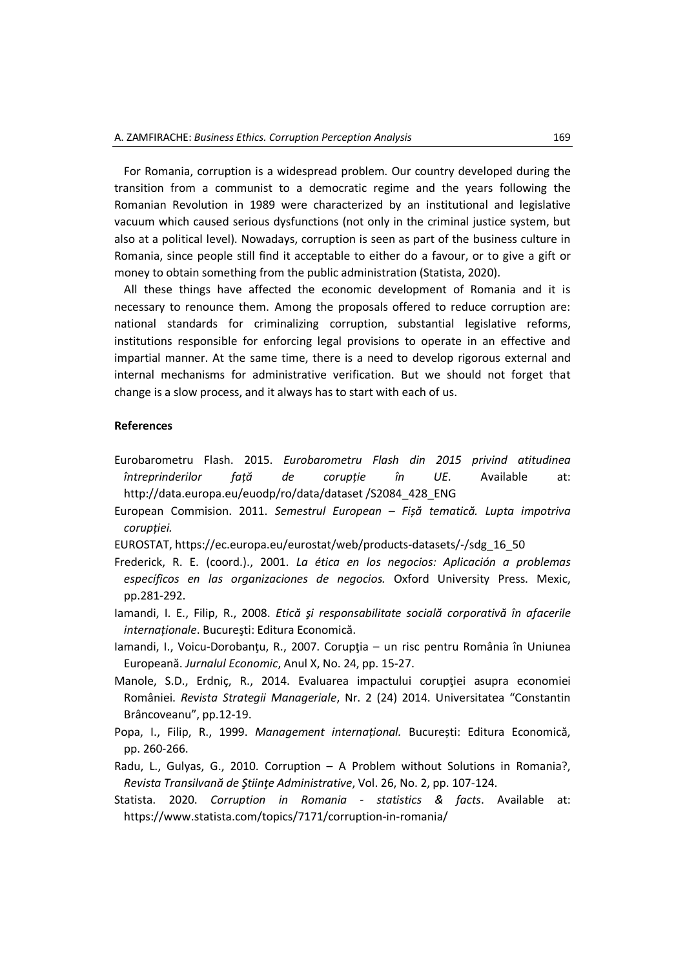For Romania, corruption is a widespread problem. Our country developed during the transition from a communist to a democratic regime and the years following the Romanian Revolution in 1989 were characterized by an institutional and legislative vacuum which caused serious dysfunctions (not only in the criminal justice system, but also at a political level). Nowadays, corruption is seen as part of the business culture in Romania, since people still find it acceptable to either do a favour, or to give a gift or money to obtain something from the public administration (Statista, 2020).

All these things have affected the economic development of Romania and it is necessary to renounce them. Among the proposals offered to reduce corruption are: national standards for criminalizing corruption, substantial legislative reforms, institutions responsible for enforcing legal provisions to operate in an effective and impartial manner. At the same time, there is a need to develop rigorous external and internal mechanisms for administrative verification. But we should not forget that change is a slow process, and it always has to start with each of us.

#### **References**

- Eurobarometru Flash. 2015. *Eurobarometru Flash din 2015 privind atitudinea întreprinderilor față de corupție în UE*. Available at: http://data.europa.eu/euodp/ro/data/dataset /S2084\_428\_ENG
- European Commision. 2011. *Semestrul European Fișă tematică. Lupta impotriva corupției.*
- EUROSTAT, https://ec.europa.eu/eurostat/web/products-datasets/-/sdg\_16\_50
- Frederick, R. E. (coord.)., 2001. *La ética en los negocios: Aplicación a problemas específicos en las organizaciones de negocios.* Oxford University Press. Mexic, pp.281-292.
- Iamandi, I. E., Filip, R., 2008. *Etică şi responsabilitate socială corporativă în afacerile internaționale*. Bucureşti: Editura Economică.
- Iamandi, I., Voicu-Dorobanţu, R., 2007. Corupţia un risc pentru România în Uniunea Europeană. *Jurnalul Economic*, Anul X, No. 24, pp. 15-27.
- Manole, S.D., Erdnic, R., 2014. Evaluarea impactului coruptiei asupra economiei României. *Revista Strategii Manageriale*, Nr. 2 (24) 2014. Universitatea "Constantin Brâncoveanu", pp.12-19.
- Popa, I., Filip, R., 1999. *Management internațional.* București: Editura Economică, pp. 260-266.
- Radu, L., Gulyas, G., 2010. Corruption A Problem without Solutions in Romania?, *Revista Transilvană de Ştiinţe Administrative*, Vol. 26, No. 2, pp. 107-124.
- Statista. 2020. *Corruption in Romania statistics & facts*. Available at: https://www.statista.com/topics/7171/corruption-in-romania/